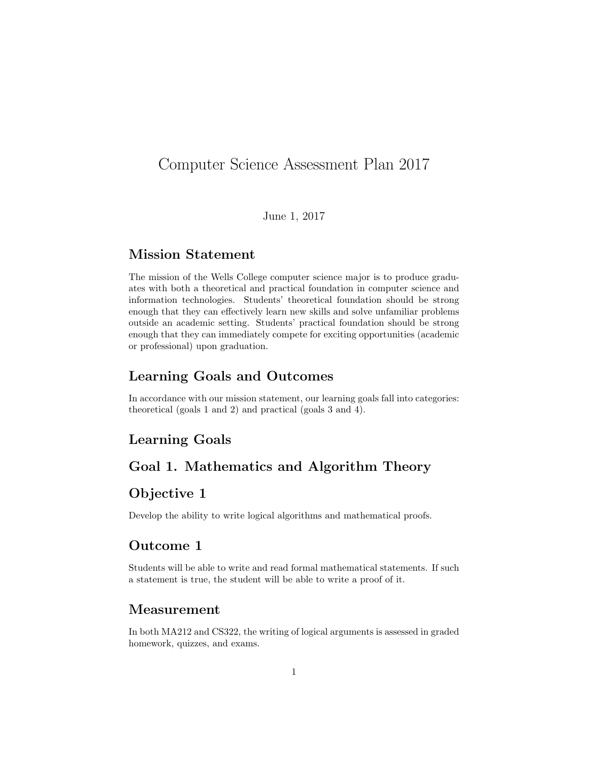# Computer Science Assessment Plan 2017

June 1, 2017

### Mission Statement

The mission of the Wells College computer science major is to produce graduates with both a theoretical and practical foundation in computer science and information technologies. Students' theoretical foundation should be strong enough that they can effectively learn new skills and solve unfamiliar problems outside an academic setting. Students' practical foundation should be strong enough that they can immediately compete for exciting opportunities (academic or professional) upon graduation.

#### Learning Goals and Outcomes

In accordance with our mission statement, our learning goals fall into categories: theoretical (goals 1 and 2) and practical (goals 3 and 4).

## Learning Goals

# Goal 1. Mathematics and Algorithm Theory

# Objective 1

Develop the ability to write logical algorithms and mathematical proofs.

#### Outcome 1

Students will be able to write and read formal mathematical statements. If such a statement is true, the student will be able to write a proof of it.

#### Measurement

In both MA212 and CS322, the writing of logical arguments is assessed in graded homework, quizzes, and exams.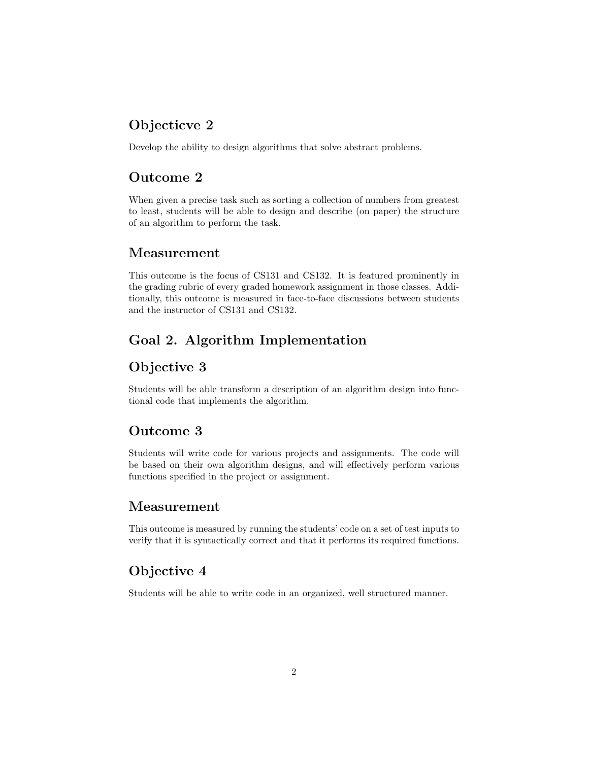# Objecticve 2

Develop the ability to design algorithms that solve abstract problems.

## Outcome 2

When given a precise task such as sorting a collection of numbers from greatest to least, students will be able to design and describe (on paper) the structure of an algorithm to perform the task.

#### Measurement

This outcome is the focus of CS131 and CS132. It is featured prominently in the grading rubric of every graded homework assignment in those classes. Additionally, this outcome is measured in face-to-face discussions between students and the instructor of CS131 and CS132.

# Goal 2. Algorithm Implementation

## Objective 3

Students will be able transform a description of an algorithm design into functional code that implements the algorithm.

### Outcome 3

Students will write code for various projects and assignments. The code will be based on their own algorithm designs, and will effectively perform various functions specified in the project or assignment.

### Measurement

This outcome is measured by running the students' code on a set of test inputs to verify that it is syntactically correct and that it performs its required functions.

## Objective 4

Students will be able to write code in an organized, well structured manner.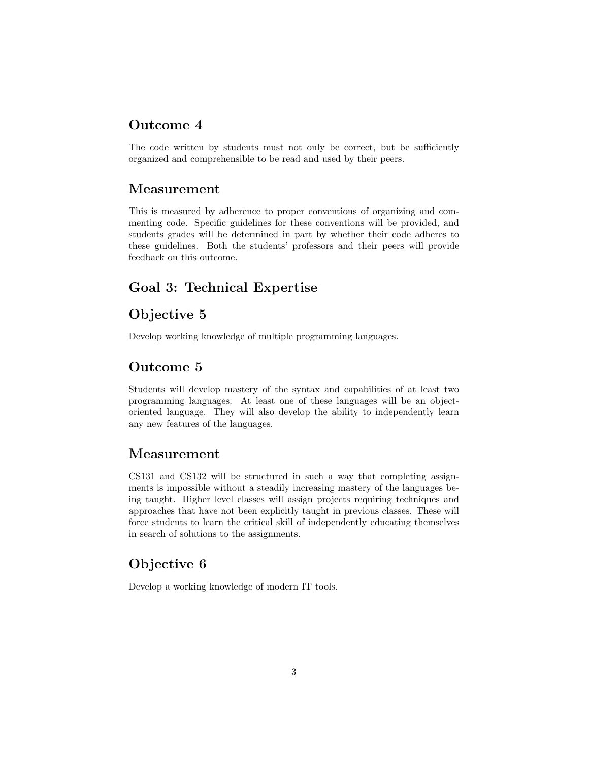#### Outcome 4

The code written by students must not only be correct, but be sufficiently organized and comprehensible to be read and used by their peers.

## Measurement

This is measured by adherence to proper conventions of organizing and commenting code. Specific guidelines for these conventions will be provided, and students grades will be determined in part by whether their code adheres to these guidelines. Both the students' professors and their peers will provide feedback on this outcome.

# Goal 3: Technical Expertise

# Objective 5

Develop working knowledge of multiple programming languages.

### Outcome 5

Students will develop mastery of the syntax and capabilities of at least two programming languages. At least one of these languages will be an objectoriented language. They will also develop the ability to independently learn any new features of the languages.

### Measurement

CS131 and CS132 will be structured in such a way that completing assignments is impossible without a steadily increasing mastery of the languages being taught. Higher level classes will assign projects requiring techniques and approaches that have not been explicitly taught in previous classes. These will force students to learn the critical skill of independently educating themselves in search of solutions to the assignments.

## Objective 6

Develop a working knowledge of modern IT tools.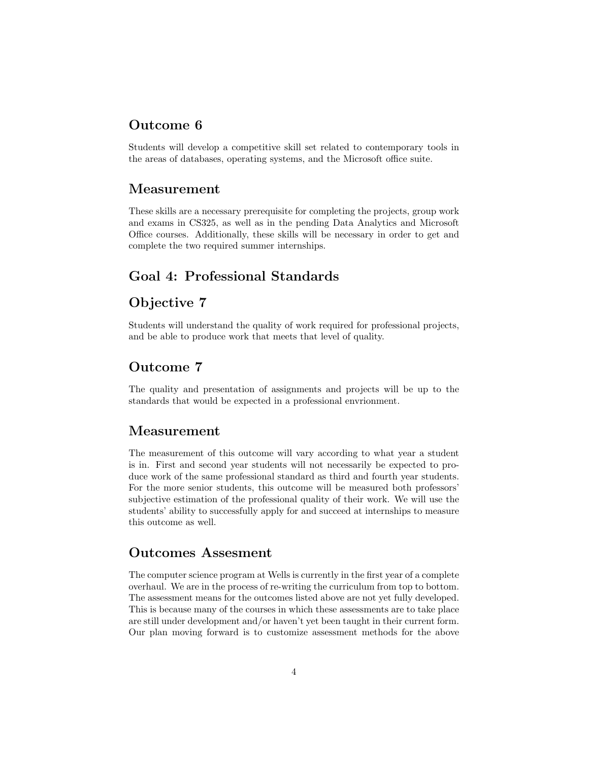#### Outcome 6

Students will develop a competitive skill set related to contemporary tools in the areas of databases, operating systems, and the Microsoft office suite.

#### Measurement

These skills are a necessary prerequisite for completing the projects, group work and exams in CS325, as well as in the pending Data Analytics and Microsoft Office courses. Additionally, these skills will be necessary in order to get and complete the two required summer internships.

### Goal 4: Professional Standards

## Objective 7

Students will understand the quality of work required for professional projects, and be able to produce work that meets that level of quality.

### Outcome 7

The quality and presentation of assignments and projects will be up to the standards that would be expected in a professional envrionment.

#### Measurement

The measurement of this outcome will vary according to what year a student is in. First and second year students will not necessarily be expected to produce work of the same professional standard as third and fourth year students. For the more senior students, this outcome will be measured both professors' subjective estimation of the professional quality of their work. We will use the students' ability to successfully apply for and succeed at internships to measure this outcome as well.

## Outcomes Assesment

The computer science program at Wells is currently in the first year of a complete overhaul. We are in the process of re-writing the curriculum from top to bottom. The assessment means for the outcomes listed above are not yet fully developed. This is because many of the courses in which these assessments are to take place are still under development and/or haven't yet been taught in their current form. Our plan moving forward is to customize assessment methods for the above